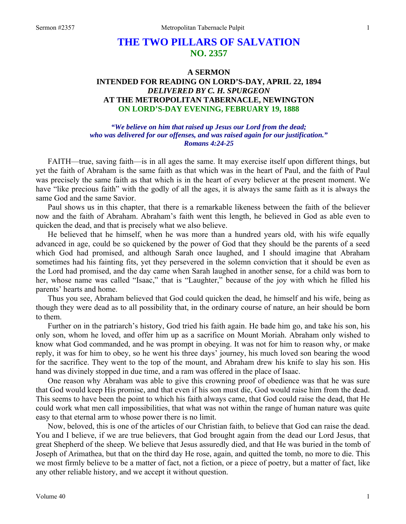# **THE TWO PILLARS OF SALVATION NO. 2357**

# **A SERMON INTENDED FOR READING ON LORD'S-DAY, APRIL 22, 1894**  *DELIVERED BY C. H. SPURGEON*  **AT THE METROPOLITAN TABERNACLE, NEWINGTON ON LORD'S-DAY EVENING, FEBRUARY 19, 1888**

*"We believe on him that raised up Jesus our Lord from the dead; who was delivered for our offenses, and was raised again for our justification." Romans 4:24-25* 

FAITH—true, saving faith—is in all ages the same. It may exercise itself upon different things, but yet the faith of Abraham is the same faith as that which was in the heart of Paul, and the faith of Paul was precisely the same faith as that which is in the heart of every believer at the present moment. We have "like precious faith" with the godly of all the ages, it is always the same faith as it is always the same God and the same Savior.

Paul shows us in this chapter, that there is a remarkable likeness between the faith of the believer now and the faith of Abraham. Abraham's faith went this length, he believed in God as able even to quicken the dead, and that is precisely what we also believe.

He believed that he himself, when he was more than a hundred years old, with his wife equally advanced in age, could be so quickened by the power of God that they should be the parents of a seed which God had promised, and although Sarah once laughed, and I should imagine that Abraham sometimes had his fainting fits, yet they persevered in the solemn conviction that it should be even as the Lord had promised, and the day came when Sarah laughed in another sense, for a child was born to her, whose name was called "Isaac," that is "Laughter," because of the joy with which he filled his parents' hearts and home.

Thus you see, Abraham believed that God could quicken the dead, he himself and his wife, being as though they were dead as to all possibility that, in the ordinary course of nature, an heir should be born to them.

Further on in the patriarch's history, God tried his faith again. He bade him go, and take his son, his only son, whom he loved, and offer him up as a sacrifice on Mount Moriah. Abraham only wished to know what God commanded, and he was prompt in obeying. It was not for him to reason why, or make reply, it was for him to obey, so he went his three days' journey, his much loved son bearing the wood for the sacrifice. They went to the top of the mount, and Abraham drew his knife to slay his son. His hand was divinely stopped in due time, and a ram was offered in the place of Isaac.

One reason why Abraham was able to give this crowning proof of obedience was that he was sure that God would keep His promise, and that even if his son must die, God would raise him from the dead. This seems to have been the point to which his faith always came, that God could raise the dead, that He could work what men call impossibilities, that what was not within the range of human nature was quite easy to that eternal arm to whose power there is no limit.

Now, beloved, this is one of the articles of our Christian faith, to believe that God can raise the dead. You and I believe, if we are true believers, that God brought again from the dead our Lord Jesus, that great Shepherd of the sheep. We believe that Jesus assuredly died, and that He was buried in the tomb of Joseph of Arimathea, but that on the third day He rose, again, and quitted the tomb, no more to die. This we most firmly believe to be a matter of fact, not a fiction, or a piece of poetry, but a matter of fact, like any other reliable history, and we accept it without question.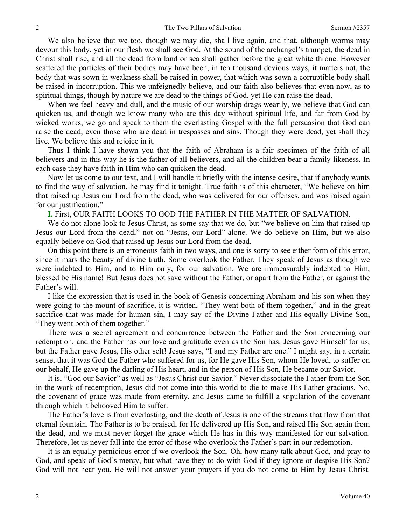We also believe that we too, though we may die, shall live again, and that, although worms may devour this body, yet in our flesh we shall see God. At the sound of the archangel's trumpet, the dead in Christ shall rise, and all the dead from land or sea shall gather before the great white throne. However scattered the particles of their bodies may have been, in ten thousand devious ways, it matters not, the body that was sown in weakness shall be raised in power, that which was sown a corruptible body shall be raised in incorruption. This we unfeignedly believe, and our faith also believes that even now, as to spiritual things, though by nature we are dead to the things of God, yet He can raise the dead.

When we feel heavy and dull, and the music of our worship drags wearily, we believe that God can quicken us, and though we know many who are this day without spiritual life, and far from God by wicked works, we go and speak to them the everlasting Gospel with the full persuasion that God can raise the dead, even those who are dead in trespasses and sins. Though they were dead, yet shall they live. We believe this and rejoice in it.

Thus I think I have shown you that the faith of Abraham is a fair specimen of the faith of all believers and in this way he is the father of all believers, and all the children bear a family likeness. In each case they have faith in Him who can quicken the dead.

Now let us come to our text, and I will handle it briefly with the intense desire, that if anybody wants to find the way of salvation, he may find it tonight. True faith is of this character, "We believe on him that raised up Jesus our Lord from the dead, who was delivered for our offenses, and was raised again for our justification."

**I.** First, OUR FAITH LOOKS TO GOD THE FATHER IN THE MATTER OF SALVATION.

We do not alone look to Jesus Christ, as some say that we do, but "we believe on him that raised up Jesus our Lord from the dead," not on "Jesus, our Lord" alone. We do believe on Him, but we also equally believe on God that raised up Jesus our Lord from the dead.

On this point there is an erroneous faith in two ways, and one is sorry to see either form of this error, since it mars the beauty of divine truth. Some overlook the Father. They speak of Jesus as though we were indebted to Him, and to Him only, for our salvation. We are immeasurably indebted to Him, blessed be His name! But Jesus does not save without the Father, or apart from the Father, or against the Father's will.

I like the expression that is used in the book of Genesis concerning Abraham and his son when they were going to the mount of sacrifice, it is written, "They went both of them together," and in the great sacrifice that was made for human sin, I may say of the Divine Father and His equally Divine Son, "They went both of them together."

There was a secret agreement and concurrence between the Father and the Son concerning our redemption, and the Father has our love and gratitude even as the Son has. Jesus gave Himself for us, but the Father gave Jesus, His other self! Jesus says, "I and my Father are one." I might say, in a certain sense, that it was God the Father who suffered for us, for He gave His Son, whom He loved, to suffer on our behalf, He gave up the darling of His heart, and in the person of His Son, He became our Savior.

It is, "God our Savior" as well as "Jesus Christ our Savior." Never dissociate the Father from the Son in the work of redemption, Jesus did not come into this world to die to make His Father gracious. No, the covenant of grace was made from eternity, and Jesus came to fulfill a stipulation of the covenant through which it behooved Him to suffer.

The Father's love is from everlasting, and the death of Jesus is one of the streams that flow from that eternal fountain. The Father is to be praised, for He delivered up His Son, and raised His Son again from the dead, and we must never forget the grace which He has in this way manifested for our salvation. Therefore, let us never fall into the error of those who overlook the Father's part in our redemption.

It is an equally pernicious error if we overlook the Son. Oh, how many talk about God, and pray to God, and speak of God's mercy, but what have they to do with God if they ignore or despise His Son? God will not hear you, He will not answer your prayers if you do not come to Him by Jesus Christ.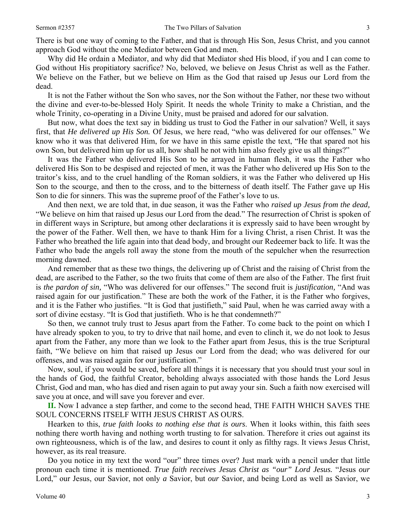There is but one way of coming to the Father, and that is through His Son, Jesus Christ, and you cannot approach God without the one Mediator between God and men.

Why did He ordain a Mediator, and why did that Mediator shed His blood, if you and I can come to God without His propitiatory sacrifice? No, beloved, we believe on Jesus Christ as well as the Father. We believe on the Father, but we believe on Him as the God that raised up Jesus our Lord from the dead.

It is not the Father without the Son who saves, nor the Son without the Father, nor these two without the divine and ever-to-be-blessed Holy Spirit. It needs the whole Trinity to make a Christian, and the whole Trinity, co-operating in a Divine Unity, must be praised and adored for our salvation.

But now, what does the text say in bidding us trust to God the Father in our salvation? Well, it says first, that *He delivered up His Son.* Of Jesus, we here read, "who was delivered for our offenses." We know who it was that delivered Him, for we have in this same epistle the text, "He that spared not his own Son, but delivered him up for us all, how shall he not with him also freely give us all things?"

It was the Father who delivered His Son to be arrayed in human flesh, it was the Father who delivered His Son to be despised and rejected of men, it was the Father who delivered up His Son to the traitor's kiss, and to the cruel handling of the Roman soldiers, it was the Father who delivered up His Son to the scourge, and then to the cross, and to the bitterness of death itself. The Father gave up His Son to die for sinners. This was the supreme proof of the Father's love to us.

And then next, we are told that, in due season, it was the Father who *raised up Jesus from the dead,*  "We believe on him that raised up Jesus our Lord from the dead." The resurrection of Christ is spoken of in different ways in Scripture, but among other declarations it is expressly said to have been wrought by the power of the Father. Well then, we have to thank Him for a living Christ, a risen Christ. It was the Father who breathed the life again into that dead body, and brought our Redeemer back to life. It was the Father who bade the angels roll away the stone from the mouth of the sepulcher when the resurrection morning dawned.

And remember that as these two things, the delivering up of Christ and the raising of Christ from the dead, are ascribed to the Father, so the two fruits that come of them are also of the Father. The first fruit is *the pardon of sin,* "Who was delivered for our offenses." The second fruit is *justification,* "And was raised again for our justification." These are both the work of the Father, it is the Father who forgives, and it is the Father who justifies. "It is God that justifieth," said Paul, when he was carried away with a sort of divine ecstasy. "It is God that justifieth. Who is he that condemneth?"

So then, we cannot truly trust to Jesus apart from the Father. To come back to the point on which I have already spoken to you, to try to drive that nail home, and even to clinch it, we do not look to Jesus apart from the Father, any more than we look to the Father apart from Jesus, this is the true Scriptural faith, "We believe on him that raised up Jesus our Lord from the dead; who was delivered for our offenses, and was raised again for our justification."

Now, soul, if you would be saved, before all things it is necessary that you should trust your soul in the hands of God, the faithful Creator, beholding always associated with those hands the Lord Jesus Christ, God and man, who has died and risen again to put away your sin. Such a faith now exercised will save you at once, and will save you forever and ever.

**II.** Now I advance a step farther, and come to the second head, THE FAITH WHICH SAVES THE SOUL CONCERNS ITSELF WITH JESUS CHRIST AS OURS.

Hearken to this, *true faith looks to nothing else that is ours*. When it looks within, this faith sees nothing there worth having and nothing worth trusting to for salvation. Therefore it cries out against its own righteousness, which is of the law, and desires to count it only as filthy rags. It views Jesus Christ, however, as its real treasure.

Do you notice in my text the word "our" three times over? Just mark with a pencil under that little pronoun each time it is mentioned. *True faith receives Jesus Christ as "our" Lord Jesus.* "Jesus *our*  Lord," our Jesus, our Savior, not only *a* Savior, but *our* Savior, and being Lord as well as Savior, we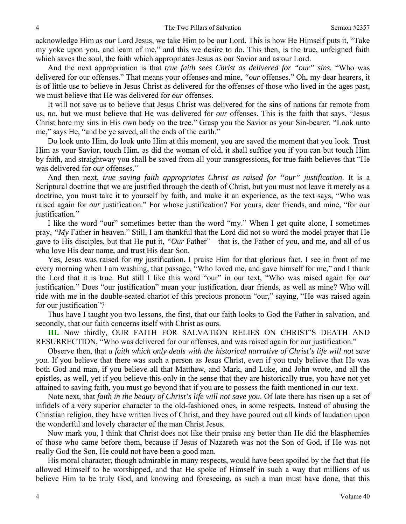acknowledge Him as *our* Lord Jesus, we take Him to be our Lord. This is how He Himself puts it, "Take my yoke upon you, and learn of me," and this we desire to do. This then, is the true, unfeigned faith which saves the soul, the faith which appropriates Jesus as our Savior and as our Lord.

And the next appropriation is that *true faith sees Christ as delivered for "our" sins.* "Who was delivered for our offenses." That means your offenses and mine, *"our* offenses." Oh, my dear hearers, it is of little use to believe in Jesus Christ as delivered for the offenses of those who lived in the ages past, we must believe that He was delivered for *our* offenses.

It will not save us to believe that Jesus Christ was delivered for the sins of nations far remote from us, no, but we must believe that He was delivered for *our* offenses. This is the faith that says, "Jesus Christ bore my sins in His own body on the tree." Grasp you the Savior as your Sin-bearer. "Look unto me," says He, "and be ye saved, all the ends of the earth."

Do look unto Him, do look unto Him at this moment, you are saved the moment that you look. Trust Him as your Savior, touch Him, as did the woman of old, it shall suffice you if you can but touch Him by faith, and straightway you shall be saved from all your transgressions, for true faith believes that "He was delivered for *our* offenses."

And then next, *true saving faith appropriates Christ as raised for "our" justification*. It is a Scriptural doctrine that we are justified through the death of Christ, but you must not leave it merely as a doctrine, you must take it to yourself by faith, and make it an experience, as the text says, "Who was raised again for *our* justification." For whose justification? For yours, dear friends, and mine, "for our justification."

I like the word "our" sometimes better than the word "my." When I get quite alone, I sometimes pray, *"My* Father in heaven." Still, I am thankful that the Lord did not so word the model prayer that He gave to His disciples, but that He put it, *"Our* Father"—that is, the Father of you, and me, and all of us who love His dear name, and trust His dear Son.

Yes, Jesus was raised for *my* justification, I praise Him for that glorious fact. I see in front of me every morning when I am washing, that passage, "Who loved me, and gave himself for me," and I thank the Lord that it is true. But still I like this word "our" in our text, "Who was raised again for *our* justification." Does "our justification" mean your justification, dear friends, as well as mine? Who will ride with me in the double-seated chariot of this precious pronoun "our," saying, "He was raised again for our justification"?

Thus have I taught you two lessons, the first, that our faith looks to God the Father in salvation, and secondly, that our faith concerns itself with Christ as ours.

**III.** Now thirdly, OUR FAITH FOR SALVATION RELIES ON CHRIST'S DEATH AND RESURRECTION, "Who was delivered for our offenses, and was raised again for our justification."

Observe then, that *a faith which only deals with the historical narrative of Christ's life will not save you.* If you believe that there was such a person as Jesus Christ, even if you truly believe that He was both God and man, if you believe all that Matthew, and Mark, and Luke, and John wrote, and all the epistles, as well, yet if you believe this only in the sense that they are historically true, you have not yet attained to saving faith, you must go beyond that if you are to possess the faith mentioned in our text.

Note next, that *faith in the beauty of Christ's life will not save you*. Of late there has risen up a set of infidels of a very superior character to the old-fashioned ones, in some respects. Instead of abusing the Christian religion, they have written lives of Christ, and they have poured out all kinds of laudation upon the wonderful and lovely character of the man Christ Jesus.

Now mark you, I think that Christ does not like their praise any better than He did the blasphemies of those who came before them, because if Jesus of Nazareth was not the Son of God, if He was not really God the Son, He could not have been a good man.

His moral character, though admirable in many respects, would have been spoiled by the fact that He allowed Himself to be worshipped, and that He spoke of Himself in such a way that millions of us believe Him to be truly God, and knowing and foreseeing, as such a man must have done, that this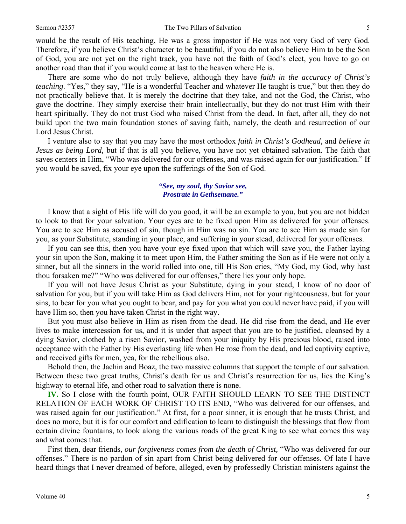would be the result of His teaching, He was a gross impostor if He was not very God of very God. Therefore, if you believe Christ's character to be beautiful, if you do not also believe Him to be the Son of God, you are not yet on the right track, you have not the faith of God's elect, you have to go on another road than that if you would come at last to the heaven where He is.

There are some who do not truly believe, although they have *faith in the accuracy of Christ's teaching*. "Yes," they say, "He is a wonderful Teacher and whatever He taught is true," but then they do not practically believe that. It is merely the doctrine that they take, and not the God, the Christ, who gave the doctrine. They simply exercise their brain intellectually, but they do not trust Him with their heart spiritually. They do not trust God who raised Christ from the dead. In fact, after all, they do not build upon the two main foundation stones of saving faith, namely, the death and resurrection of our Lord Jesus Christ.

I venture also to say that you may have the most orthodox *faith in Christ's Godhead,* and *believe in Jesus as being Lord,* but if that is all you believe, you have not yet obtained salvation. The faith that saves centers in Him, "Who was delivered for our offenses, and was raised again for our justification." If you would be saved, fix your eye upon the sufferings of the Son of God.

# *"See, my soul, thy Savior see, Prostrate in Gethsemane."*

I know that a sight of His life will do you good, it will be an example to you, but you are not bidden to look to that for your salvation. Your eyes are to be fixed upon Him as delivered for your offenses. You are to see Him as accused of sin, though in Him was no sin. You are to see Him as made sin for you, as your Substitute, standing in your place, and suffering in your stead, delivered for your offenses.

If you can see this, then you have your eye fixed upon that which will save you, the Father laying your sin upon the Son, making it to meet upon Him, the Father smiting the Son as if He were not only a sinner, but all the sinners in the world rolled into one, till His Son cries, "My God, my God, why hast thou forsaken me?" "Who was delivered for our offenses," there lies your only hope.

If you will not have Jesus Christ as your Substitute, dying in your stead, I know of no door of salvation for you, but if you will take Him as God delivers Him, not for your righteousness, but for your sins, to bear for you what you ought to bear, and pay for you what you could never have paid, if you will have Him so, then you have taken Christ in the right way.

But you must also believe in Him as risen from the dead. He did rise from the dead, and He ever lives to make intercession for us, and it is under that aspect that you are to be justified, cleansed by a dying Savior, clothed by a risen Savior, washed from your iniquity by His precious blood, raised into acceptance with the Father by His everlasting life when He rose from the dead, and led captivity captive, and received gifts for men, yea, for the rebellious also.

Behold then, the Jachin and Boaz, the two massive columns that support the temple of our salvation. Between these two great truths, Christ's death for us and Christ's resurrection for us, lies the King's highway to eternal life, and other road to salvation there is none.

**IV.** So I close with the fourth point, OUR FAITH SHOULD LEARN TO SEE THE DISTINCT RELATION OF EACH WORK OF CHRIST TO ITS END, "Who was delivered for our offenses, and was raised again for our justification." At first, for a poor sinner, it is enough that he trusts Christ, and does no more, but it is for our comfort and edification to learn to distinguish the blessings that flow from certain divine fountains, to look along the various roads of the great King to see what comes this way and what comes that.

First then, dear friends, *our forgiveness comes from the death of Christ,* "Who was delivered for our offenses." There is no pardon of sin apart from Christ being delivered for our offenses. Of late I have heard things that I never dreamed of before, alleged, even by professedly Christian ministers against the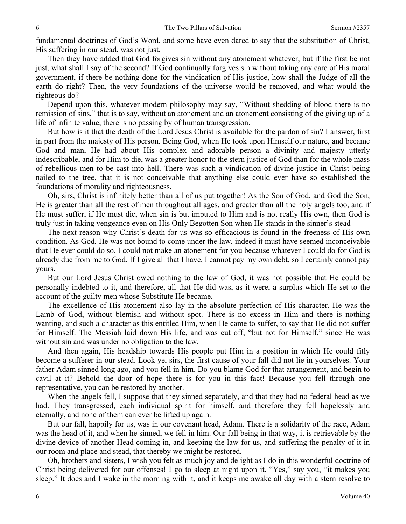fundamental doctrines of God's Word, and some have even dared to say that the substitution of Christ, His suffering in our stead, was not just.

Then they have added that God forgives sin without any atonement whatever, but if the first be not just, what shall I say of the second? If God continually forgives sin without taking any care of His moral government, if there be nothing done for the vindication of His justice, how shall the Judge of all the earth do right? Then, the very foundations of the universe would be removed, and what would the righteous do?

Depend upon this, whatever modern philosophy may say, "Without shedding of blood there is no remission of sins," that is to say, without an atonement and an atonement consisting of the giving up of a life of infinite value, there is no passing by of human transgression.

But how is it that the death of the Lord Jesus Christ is available for the pardon of sin? I answer, first in part from the majesty of His person. Being God, when He took upon Himself our nature, and became God and man, He had about His complex and adorable person a divinity and majesty utterly indescribable, and for Him to die, was a greater honor to the stern justice of God than for the whole mass of rebellious men to be cast into hell. There was such a vindication of divine justice in Christ being nailed to the tree, that it is not conceivable that anything else could ever have so established the foundations of morality and righteousness.

Oh, sirs, Christ is infinitely better than all of us put together! As the Son of God, and God the Son, He is greater than all the rest of men throughout all ages, and greater than all the holy angels too, and if He must suffer, if He must die, when sin is but imputed to Him and is not really His own, then God is truly just in taking vengeance even on His Only Begotten Son when He stands in the sinner's stead

The next reason why Christ's death for us was so efficacious is found in the freeness of His own condition. As God, He was not bound to come under the law, indeed it must have seemed inconceivable that He ever could do so. I could not make an atonement for you because whatever I could do for God is already due from me to God. If I give all that I have, I cannot pay my own debt, so I certainly cannot pay yours.

But our Lord Jesus Christ owed nothing to the law of God, it was not possible that He could be personally indebted to it, and therefore, all that He did was, as it were, a surplus which He set to the account of the guilty men whose Substitute He became.

The excellence of His atonement also lay in the absolute perfection of His character. He was the Lamb of God, without blemish and without spot. There is no excess in Him and there is nothing wanting, and such a character as this entitled Him, when He came to suffer, to say that He did not suffer for Himself. The Messiah laid down His life, and was cut off, "but not for Himself," since He was without sin and was under no obligation to the law.

And then again, His headship towards His people put Him in a position in which He could fitly become a sufferer in our stead. Look ye, sirs, the first cause of your fall did not lie in yourselves. Your father Adam sinned long ago, and you fell in him. Do you blame God for that arrangement, and begin to cavil at it? Behold the door of hope there is for you in this fact! Because you fell through one representative, you can be restored by another.

When the angels fell, I suppose that they sinned separately, and that they had no federal head as we had. They transgressed, each individual spirit for himself, and therefore they fell hopelessly and eternally, and none of them can ever be lifted up again.

But our fall, happily for us, was in our covenant head, Adam. There is a solidarity of the race, Adam was the head of it, and when he sinned, we fell in him. Our fall being in that way, it is retrievable by the divine device of another Head coming in, and keeping the law for us, and suffering the penalty of it in our room and place and stead, that thereby we might be restored.

Oh, brothers and sisters, I wish you felt as much joy and delight as I do in this wonderful doctrine of Christ being delivered for our offenses! I go to sleep at night upon it. "Yes," say you, "it makes you sleep." It does and I wake in the morning with it, and it keeps me awake all day with a stern resolve to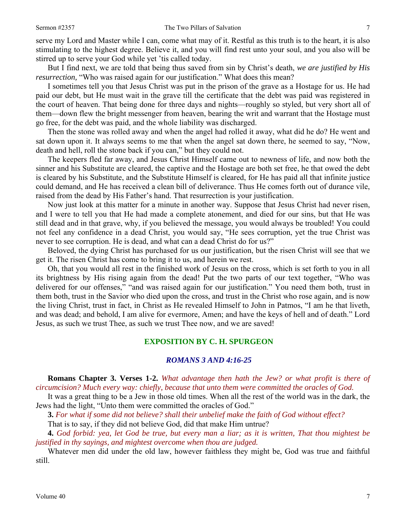serve my Lord and Master while I can, come what may of it. Restful as this truth is to the heart, it is also stimulating to the highest degree. Believe it, and you will find rest unto your soul, and you also will be stirred up to serve your God while yet 'tis called today.

But I find next, we are told that being thus saved from sin by Christ's death, *we are justified by His resurrection*, "Who was raised again for our justification." What does this mean?

I sometimes tell you that Jesus Christ was put in the prison of the grave as a Hostage for us. He had paid our debt, but He must wait in the grave till the certificate that the debt was paid was registered in the court of heaven. That being done for three days and nights—roughly so styled, but very short all of them—down flew the bright messenger from heaven, bearing the writ and warrant that the Hostage must go free, for the debt was paid, and the whole liability was discharged.

Then the stone was rolled away and when the angel had rolled it away, what did he do? He went and sat down upon it. It always seems to me that when the angel sat down there, he seemed to say, "Now, death and hell, roll the stone back if you can," but they could not.

The keepers fled far away, and Jesus Christ Himself came out to newness of life, and now both the sinner and his Substitute are cleared, the captive and the Hostage are both set free, he that owed the debt is cleared by his Substitute, and the Substitute Himself is cleared, for He has paid all that infinite justice could demand, and He has received a clean bill of deliverance. Thus He comes forth out of durance vile, raised from the dead by His Father's hand. That resurrection is your justification.

Now just look at this matter for a minute in another way. Suppose that Jesus Christ had never risen, and I were to tell you that He had made a complete atonement, and died for our sins, but that He was still dead and in that grave, why, if you believed the message, you would always be troubled! You could not feel any confidence in a dead Christ, you would say, "He sees corruption, yet the true Christ was never to see corruption. He is dead, and what can a dead Christ do for us?"

Beloved, the dying Christ has purchased for us our justification, but the risen Christ will see that we get it. The risen Christ has come to bring it to us, and herein we rest.

Oh, that you would all rest in the finished work of Jesus on the cross, which is set forth to you in all its brightness by His rising again from the dead! Put the two parts of our text together, "Who was delivered for our offenses," "and was raised again for our justification." You need them both, trust in them both, trust in the Savior who died upon the cross, and trust in the Christ who rose again, and is now the living Christ, trust in fact, in Christ as He revealed Himself to John in Patmos, "I am he that liveth, and was dead; and behold, I am alive for evermore, Amen; and have the keys of hell and of death." Lord Jesus, as such we trust Thee, as such we trust Thee now, and we are saved!

# **EXPOSITION BY C. H. SPURGEON**

#### *ROMANS 3 AND 4:16-25*

**Romans Chapter 3. Verses 1-2.** *What advantage then hath the Jew? or what profit is there of circumcision? Much every way: chiefly, because that unto them were committed the oracles of God.* 

It was a great thing to be a Jew in those old times. When all the rest of the world was in the dark, the Jews had the light, "Unto them were committed the oracles of God."

**3.** *For what if some did not believe? shall their unbelief make the faith of God without effect?* 

That is to say, if they did not believe God, did that make Him untrue?

**4.** *God forbid: yea, let God be true, but every man a liar; as it is written, That thou mightest be justified in thy sayings, and mightest overcome when thou are judged.* 

Whatever men did under the old law, however faithless they might be, God was true and faithful still.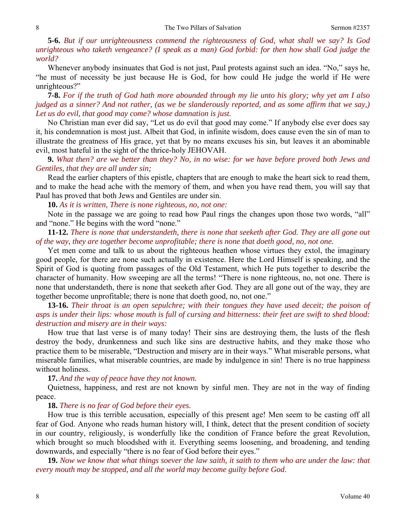**5-6.** *But if our unrighteousness commend the righteousness of God, what shall we say? Is God unrighteous who taketh vengeance? (I speak as a man) God forbid: for then how shall God judge the world?* 

Whenever anybody insinuates that God is not just, Paul protests against such an idea. "No," says he, "he must of necessity be just because He is God, for how could He judge the world if He were unrighteous?"

**7-8.** *For if the truth of God hath more abounded through my lie unto his glory; why yet am I also judged as a sinner? And not rather, (as we be slanderously reported, and as some affirm that we say,) Let us do evil, that good may come? whose damnation is just.* 

No Christian man ever did say, "Let us do evil that good may come." If anybody else ever does say it, his condemnation is most just. Albeit that God, in infinite wisdom, does cause even the sin of man to illustrate the greatness of His grace, yet that by no means excuses his sin, but leaves it an abominable evil, most hateful in the sight of the thrice-holy JEHOVAH.

**9.** *What then? are we better than they? No, in no wise: for we have before proved both Jews and Gentiles, that they are all under sin;* 

Read the earlier chapters of this epistle, chapters that are enough to make the heart sick to read them, and to make the head ache with the memory of them, and when you have read them, you will say that Paul has proved that both Jews and Gentiles are under sin.

**10.** *As it is written, There is none righteous, no, not one:* 

Note in the passage we are going to read how Paul rings the changes upon those two words, "all" and "none." He begins with the word "none."

**11-12.** *There is none that understandeth, there is none that seeketh after God. They are all gone out of the way, they are together become unprofitable; there is none that doeth good, no, not one.* 

Yet men come and talk to us about the righteous heathen whose virtues they extol, the imaginary good people, for there are none such actually in existence. Here the Lord Himself is speaking, and the Spirit of God is quoting from passages of the Old Testament, which He puts together to describe the character of humanity. How sweeping are all the terms! "There is none righteous, no, not one. There is none that understandeth, there is none that seeketh after God. They are all gone out of the way, they are together become unprofitable; there is none that doeth good, no, not one."

**13-16.** *Their throat is an open sepulchre; with their tongues they have used deceit; the poison of asps is under their lips: whose mouth is full of cursing and bitterness: their feet are swift to shed blood: destruction and misery are in their ways:* 

How true that last verse is of many today! Their sins are destroying them, the lusts of the flesh destroy the body, drunkenness and such like sins are destructive habits, and they make those who practice them to be miserable, "Destruction and misery are in their ways." What miserable persons, what miserable families, what miserable countries, are made by indulgence in sin! There is no true happiness without holiness.

#### **17.** *And the way of peace have they not known.*

Quietness, happiness, and rest are not known by sinful men. They are not in the way of finding peace.

# **18.** *There is no fear of God before their eyes.*

How true is this terrible accusation, especially of this present age! Men seem to be casting off all fear of God. Anyone who reads human history will, I think, detect that the present condition of society in our country, religiously, is wonderfully like the condition of France before the great Revolution, which brought so much bloodshed with it. Everything seems loosening, and broadening, and tending downwards, and especially "there is no fear of God before their eyes."

**19.** *Now we know that what things soever the law saith, it saith to them who are under the law: that every mouth may be stopped, and all the world may become guilty before God*.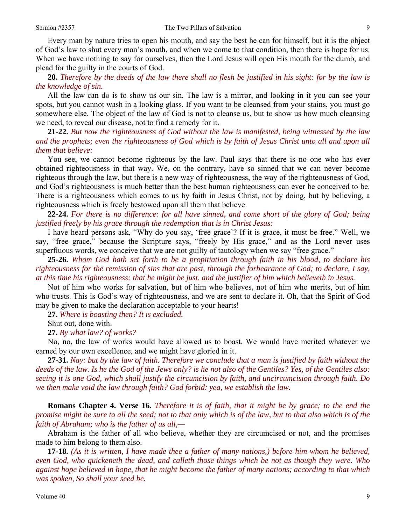Every man by nature tries to open his mouth, and say the best he can for himself, but it is the object of God's law to shut every man's mouth, and when we come to that condition, then there is hope for us. When we have nothing to say for ourselves, then the Lord Jesus will open His mouth for the dumb, and plead for the guilty in the courts of God.

**20.** *Therefore by the deeds of the law there shall no flesh be justified in his sight: for by the law is the knowledge of sin.* 

All the law can do is to show us our sin. The law is a mirror, and looking in it you can see your spots, but you cannot wash in a looking glass. If you want to be cleansed from your stains, you must go somewhere else. The object of the law of God is not to cleanse us, but to show us how much cleansing we need, to reveal our disease, not to find a remedy for it.

**21-22.** *But now the righteousness of God without the law is manifested, being witnessed by the law and the prophets; even the righteousness of God which is by faith of Jesus Christ unto all and upon all them that believe:* 

You see, we cannot become righteous by the law. Paul says that there is no one who has ever obtained righteousness in that way. We, on the contrary, have so sinned that we can never become righteous through the law, but there is a new way of righteousness, the way of the righteousness of God, and God's righteousness is much better than the best human righteousness can ever be conceived to be. There is a righteousness which comes to us by faith in Jesus Christ, not by doing, but by believing, a righteousness which is freely bestowed upon all them that believe.

**22-24.** *For there is no difference: for all have sinned, and come short of the glory of God; being justified freely by his grace through the redemption that is in Christ Jesus:* 

I have heard persons ask, "Why do you say, 'free grace'? If it is grace, it must be free." Well, we say, "free grace," because the Scripture says, "freely by His grace," and as the Lord never uses superfluous words, we conceive that we are not guilty of tautology when we say "free grace."

**25-26.** *Whom God hath set forth to be a propitiation through faith in his blood, to declare his righteousness for the remission of sins that are past, through the forbearance of God; to declare, I say, at this time his righteousness: that he might be just, and the justifier of him which believeth in Jesus.* 

Not of him who works for salvation, but of him who believes, not of him who merits, but of him who trusts. This is God's way of righteousness, and we are sent to declare it. Oh, that the Spirit of God may be given to make the declaration acceptable to your hearts!

**27.** *Where is boasting then? It is excluded.* 

Shut out, done with.

**27.** *By what law? of works?* 

No, no, the law of works would have allowed us to boast. We would have merited whatever we earned by our own excellence, and we might have gloried in it.

**27-31.** *Nay: but by the law of faith. Therefore we conclude that a man is justified by faith without the deeds of the law. Is he the God of the Jews only? is he not also of the Gentiles? Yes, of the Gentiles also: seeing it is one God, which shall justify the circumcision by faith, and uncircumcision through faith. Do we then make void the law through faith? God forbid: yea, we establish the law.* 

**Romans Chapter 4. Verse 16.** *Therefore it is of faith, that it might be by grace; to the end the promise might be sure to all the seed; not to that only which is of the law, but to that also which is of the faith of Abraham; who is the father of us all,—* 

Abraham is the father of all who believe, whether they are circumcised or not, and the promises made to him belong to them also.

**17-18.** *(As it is written, I have made thee a father of many nations,) before him whom he believed, even God, who quickeneth the dead, and calleth those things which be not as though they were. Who against hope believed in hope, that he might become the father of many nations; according to that which was spoken, So shall your seed be.*